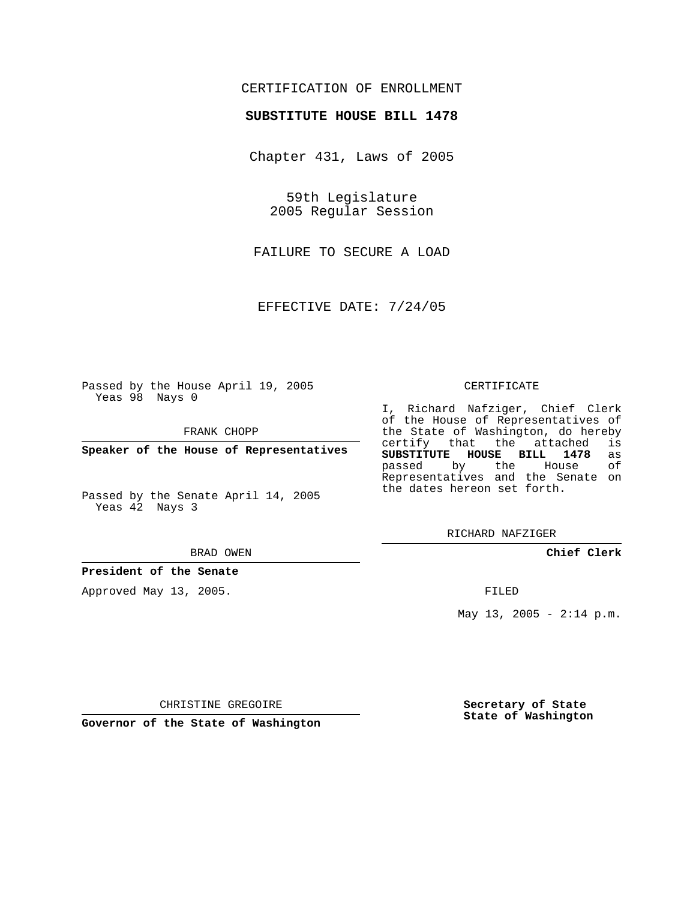## CERTIFICATION OF ENROLLMENT

### **SUBSTITUTE HOUSE BILL 1478**

Chapter 431, Laws of 2005

59th Legislature 2005 Regular Session

FAILURE TO SECURE A LOAD

EFFECTIVE DATE: 7/24/05

Passed by the House April 19, 2005 Yeas 98 Nays 0

FRANK CHOPP

**Speaker of the House of Representatives**

Passed by the Senate April 14, 2005 Yeas 42 Nays 3

#### BRAD OWEN

**President of the Senate**

Approved May 13, 2005.

#### CERTIFICATE

I, Richard Nafziger, Chief Clerk of the House of Representatives of the State of Washington, do hereby<br>certify that the attached is certify that the attached **SUBSTITUTE HOUSE BILL 1478** as passed by the House Representatives and the Senate on the dates hereon set forth.

RICHARD NAFZIGER

**Chief Clerk**

FILED

May 13, 2005 -  $2:14$  p.m.

CHRISTINE GREGOIRE

**Governor of the State of Washington**

**Secretary of State State of Washington**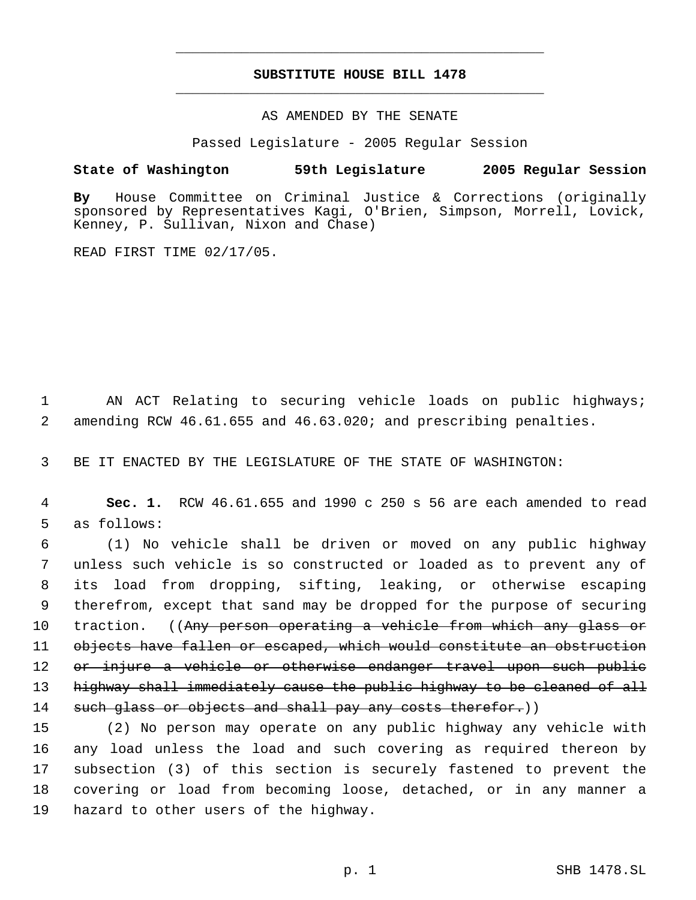## **SUBSTITUTE HOUSE BILL 1478** \_\_\_\_\_\_\_\_\_\_\_\_\_\_\_\_\_\_\_\_\_\_\_\_\_\_\_\_\_\_\_\_\_\_\_\_\_\_\_\_\_\_\_\_\_

\_\_\_\_\_\_\_\_\_\_\_\_\_\_\_\_\_\_\_\_\_\_\_\_\_\_\_\_\_\_\_\_\_\_\_\_\_\_\_\_\_\_\_\_\_

### AS AMENDED BY THE SENATE

Passed Legislature - 2005 Regular Session

## **State of Washington 59th Legislature 2005 Regular Session**

**By** House Committee on Criminal Justice & Corrections (originally sponsored by Representatives Kagi, O'Brien, Simpson, Morrell, Lovick, Kenney, P. Sullivan, Nixon and Chase)

READ FIRST TIME 02/17/05.

 1 AN ACT Relating to securing vehicle loads on public highways; 2 amending RCW 46.61.655 and 46.63.020; and prescribing penalties.

3 BE IT ENACTED BY THE LEGISLATURE OF THE STATE OF WASHINGTON:

 4 **Sec. 1.** RCW 46.61.655 and 1990 c 250 s 56 are each amended to read 5 as follows:

 (1) No vehicle shall be driven or moved on any public highway unless such vehicle is so constructed or loaded as to prevent any of its load from dropping, sifting, leaking, or otherwise escaping therefrom, except that sand may be dropped for the purpose of securing 10 traction. ((Any person operating a vehicle from which any glass or objects have fallen or escaped, which would constitute an obstruction 12 or injure a vehicle or otherwise endanger travel upon such public highway shall immediately cause the public highway to be cleaned of all 14 such glass or objects and shall pay any costs therefor.))

 (2) No person may operate on any public highway any vehicle with any load unless the load and such covering as required thereon by subsection (3) of this section is securely fastened to prevent the covering or load from becoming loose, detached, or in any manner a hazard to other users of the highway.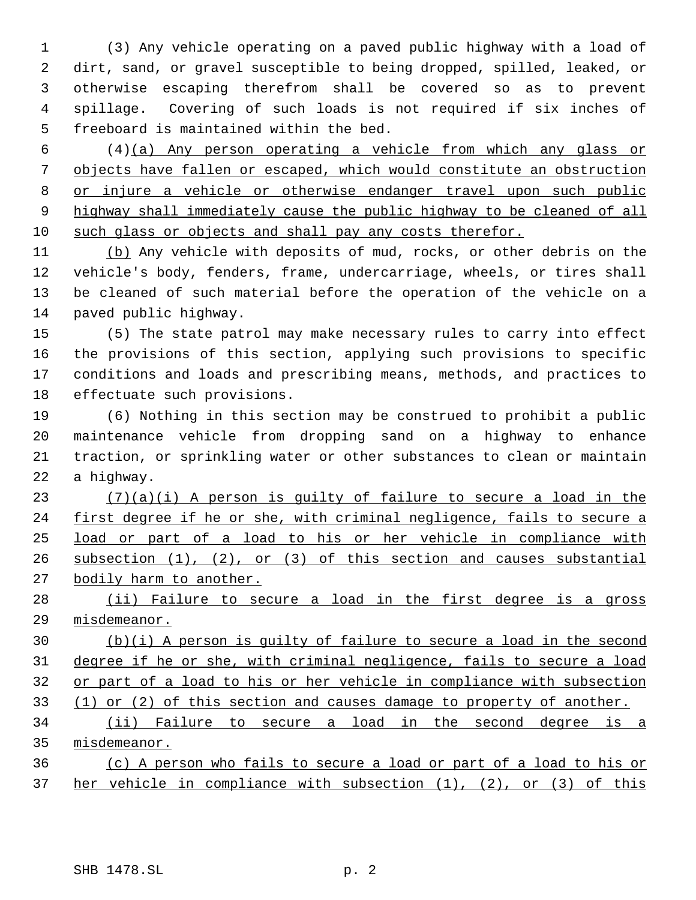(3) Any vehicle operating on a paved public highway with a load of dirt, sand, or gravel susceptible to being dropped, spilled, leaked, or otherwise escaping therefrom shall be covered so as to prevent spillage. Covering of such loads is not required if six inches of freeboard is maintained within the bed.

 (4)(a) Any person operating a vehicle from which any glass or objects have fallen or escaped, which would constitute an obstruction or injure a vehicle or otherwise endanger travel upon such public 9 highway shall immediately cause the public highway to be cleaned of all such glass or objects and shall pay any costs therefor.

 (b) Any vehicle with deposits of mud, rocks, or other debris on the vehicle's body, fenders, frame, undercarriage, wheels, or tires shall be cleaned of such material before the operation of the vehicle on a paved public highway.

 (5) The state patrol may make necessary rules to carry into effect the provisions of this section, applying such provisions to specific conditions and loads and prescribing means, methods, and practices to effectuate such provisions.

 (6) Nothing in this section may be construed to prohibit a public maintenance vehicle from dropping sand on a highway to enhance traction, or sprinkling water or other substances to clean or maintain a highway.

 $(7)(a)(i)$  A person is guilty of failure to secure a load in the 24 first degree if he or she, with criminal negligence, fails to secure a load or part of a load to his or her vehicle in compliance with subsection (1), (2), or (3) of this section and causes substantial bodily harm to another.

28 (ii) Failure to secure a load in the first degree is a gross misdemeanor.

 (b)(i) A person is guilty of failure to secure a load in the second degree if he or she, with criminal negligence, fails to secure a load or part of a load to his or her vehicle in compliance with subsection (1) or (2) of this section and causes damage to property of another.

 (ii) Failure to secure a load in the second degree is a misdemeanor.

 (c) A person who fails to secure a load or part of a load to his or her vehicle in compliance with subsection (1), (2), or (3) of this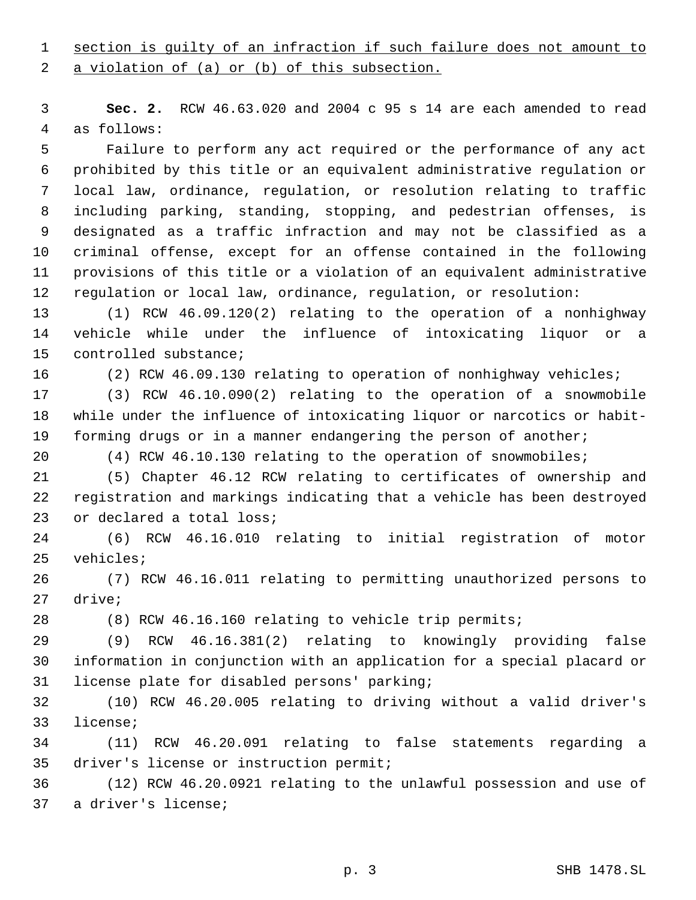# section is guilty of an infraction if such failure does not amount to

a violation of (a) or (b) of this subsection.

 **Sec. 2.** RCW 46.63.020 and 2004 c 95 s 14 are each amended to read as follows:

 Failure to perform any act required or the performance of any act prohibited by this title or an equivalent administrative regulation or local law, ordinance, regulation, or resolution relating to traffic including parking, standing, stopping, and pedestrian offenses, is designated as a traffic infraction and may not be classified as a criminal offense, except for an offense contained in the following provisions of this title or a violation of an equivalent administrative regulation or local law, ordinance, regulation, or resolution:

 (1) RCW 46.09.120(2) relating to the operation of a nonhighway vehicle while under the influence of intoxicating liquor or a controlled substance;

(2) RCW 46.09.130 relating to operation of nonhighway vehicles;

 (3) RCW 46.10.090(2) relating to the operation of a snowmobile while under the influence of intoxicating liquor or narcotics or habit-forming drugs or in a manner endangering the person of another;

(4) RCW 46.10.130 relating to the operation of snowmobiles;

 (5) Chapter 46.12 RCW relating to certificates of ownership and registration and markings indicating that a vehicle has been destroyed 23 or declared a total loss;

 (6) RCW 46.16.010 relating to initial registration of motor vehicles;

 (7) RCW 46.16.011 relating to permitting unauthorized persons to drive;

(8) RCW 46.16.160 relating to vehicle trip permits;

 (9) RCW 46.16.381(2) relating to knowingly providing false information in conjunction with an application for a special placard or license plate for disabled persons' parking;

 (10) RCW 46.20.005 relating to driving without a valid driver's license;

 (11) RCW 46.20.091 relating to false statements regarding a driver's license or instruction permit;

 (12) RCW 46.20.0921 relating to the unlawful possession and use of a driver's license;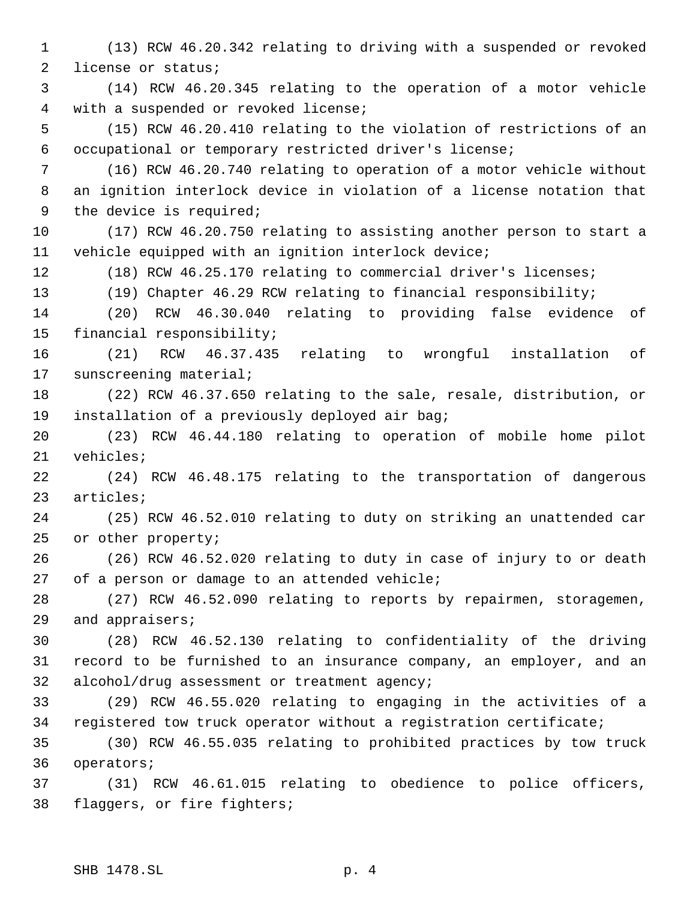(13) RCW 46.20.342 relating to driving with a suspended or revoked license or status;

 (14) RCW 46.20.345 relating to the operation of a motor vehicle with a suspended or revoked license;

 (15) RCW 46.20.410 relating to the violation of restrictions of an occupational or temporary restricted driver's license;

 (16) RCW 46.20.740 relating to operation of a motor vehicle without an ignition interlock device in violation of a license notation that the device is required;

 (17) RCW 46.20.750 relating to assisting another person to start a vehicle equipped with an ignition interlock device;

(18) RCW 46.25.170 relating to commercial driver's licenses;

(19) Chapter 46.29 RCW relating to financial responsibility;

 (20) RCW 46.30.040 relating to providing false evidence of financial responsibility;

 (21) RCW 46.37.435 relating to wrongful installation of sunscreening material;

 (22) RCW 46.37.650 relating to the sale, resale, distribution, or installation of a previously deployed air bag;

 (23) RCW 46.44.180 relating to operation of mobile home pilot vehicles;

 (24) RCW 46.48.175 relating to the transportation of dangerous articles;

 (25) RCW 46.52.010 relating to duty on striking an unattended car or other property;

 (26) RCW 46.52.020 relating to duty in case of injury to or death of a person or damage to an attended vehicle;

 (27) RCW 46.52.090 relating to reports by repairmen, storagemen, and appraisers;

 (28) RCW 46.52.130 relating to confidentiality of the driving record to be furnished to an insurance company, an employer, and an alcohol/drug assessment or treatment agency;

 (29) RCW 46.55.020 relating to engaging in the activities of a registered tow truck operator without a registration certificate;

 (30) RCW 46.55.035 relating to prohibited practices by tow truck operators;

 (31) RCW 46.61.015 relating to obedience to police officers, flaggers, or fire fighters;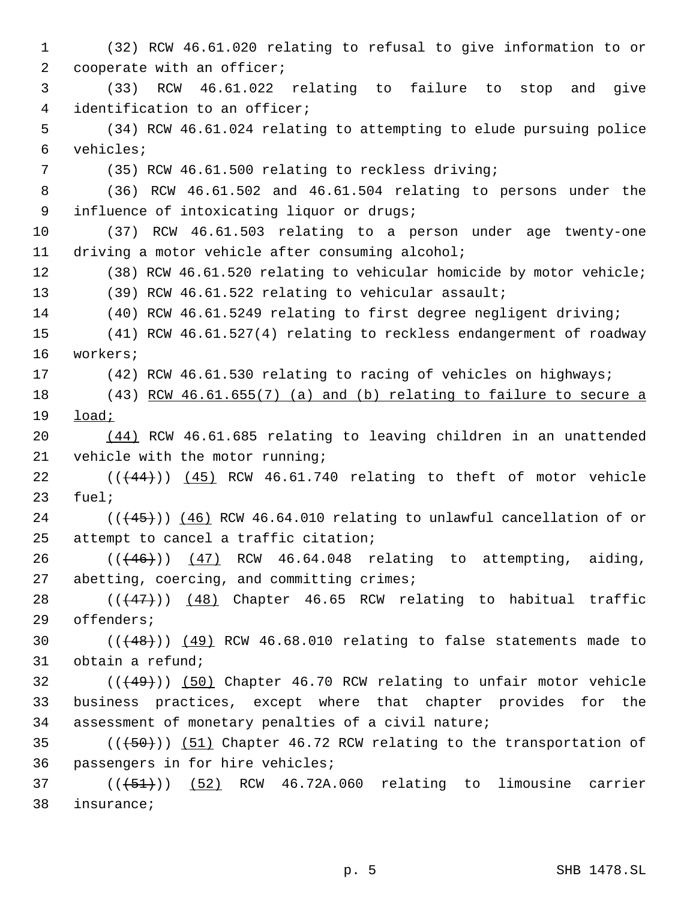(32) RCW 46.61.020 relating to refusal to give information to or 2 cooperate with an officer; (33) RCW 46.61.022 relating to failure to stop and give identification to an officer; (34) RCW 46.61.024 relating to attempting to elude pursuing police vehicles; (35) RCW 46.61.500 relating to reckless driving; (36) RCW 46.61.502 and 46.61.504 relating to persons under the influence of intoxicating liquor or drugs; (37) RCW 46.61.503 relating to a person under age twenty-one driving a motor vehicle after consuming alcohol; (38) RCW 46.61.520 relating to vehicular homicide by motor vehicle; (39) RCW 46.61.522 relating to vehicular assault; (40) RCW 46.61.5249 relating to first degree negligent driving; (41) RCW 46.61.527(4) relating to reckless endangerment of roadway workers; (42) RCW 46.61.530 relating to racing of vehicles on highways; (43) RCW 46.61.655(7) (a) and (b) relating to failure to secure a load; (44) RCW 46.61.685 relating to leaving children in an unattended vehicle with the motor running; ( $(\frac{44}{1})$ )  $(45)$  RCW 46.61.740 relating to theft of motor vehicle fuel; (( $(45)$ )) (46) RCW 46.64.010 relating to unlawful cancellation of or attempt to cancel a traffic citation; 26 (((46))) (47) RCW 46.64.048 relating to attempting, aiding, abetting, coercing, and committing crimes; 28 (( $(47)$ )) (48) Chapter 46.65 RCW relating to habitual traffic offenders;  $((+48))$   $(49)$  RCW 46.68.010 relating to false statements made to obtain a refund; 32 (( $(49)$ )) (50) Chapter 46.70 RCW relating to unfair motor vehicle business practices, except where that chapter provides for the assessment of monetary penalties of a civil nature; 35 (( $(50)$ )) (51) Chapter 46.72 RCW relating to the transportation of passengers in for hire vehicles; ( $(\overline{+51})$ )  $(52)$  RCW 46.72A.060 relating to limousine carrier insurance;